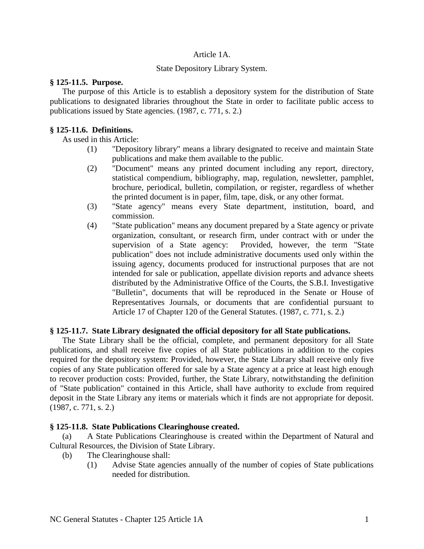## Article 1A.

# State Depository Library System.

### **§ 125-11.5. Purpose.**

The purpose of this Article is to establish a depository system for the distribution of State publications to designated libraries throughout the State in order to facilitate public access to publications issued by State agencies. (1987, c. 771, s. 2.)

## **§ 125-11.6. Definitions.**

As used in this Article:

- (1) "Depository library" means a library designated to receive and maintain State publications and make them available to the public.
- (2) "Document" means any printed document including any report, directory, statistical compendium, bibliography, map, regulation, newsletter, pamphlet, brochure, periodical, bulletin, compilation, or register, regardless of whether the printed document is in paper, film, tape, disk, or any other format.
- (3) "State agency" means every State department, institution, board, and commission.
- (4) "State publication" means any document prepared by a State agency or private organization, consultant, or research firm, under contract with or under the supervision of a State agency: Provided, however, the term "State publication" does not include administrative documents used only within the issuing agency, documents produced for instructional purposes that are not intended for sale or publication, appellate division reports and advance sheets distributed by the Administrative Office of the Courts, the S.B.I. Investigative "Bulletin", documents that will be reproduced in the Senate or House of Representatives Journals, or documents that are confidential pursuant to Article 17 of Chapter 120 of the General Statutes. (1987, c. 771, s. 2.)

#### **§ 125-11.7. State Library designated the official depository for all State publications.**

The State Library shall be the official, complete, and permanent depository for all State publications, and shall receive five copies of all State publications in addition to the copies required for the depository system: Provided, however, the State Library shall receive only five copies of any State publication offered for sale by a State agency at a price at least high enough to recover production costs: Provided, further, the State Library, notwithstanding the definition of "State publication" contained in this Article, shall have authority to exclude from required deposit in the State Library any items or materials which it finds are not appropriate for deposit. (1987, c. 771, s. 2.)

## **§ 125-11.8. State Publications Clearinghouse created.**

(a) A State Publications Clearinghouse is created within the Department of Natural and Cultural Resources, the Division of State Library.

- (b) The Clearinghouse shall:
	- (1) Advise State agencies annually of the number of copies of State publications needed for distribution.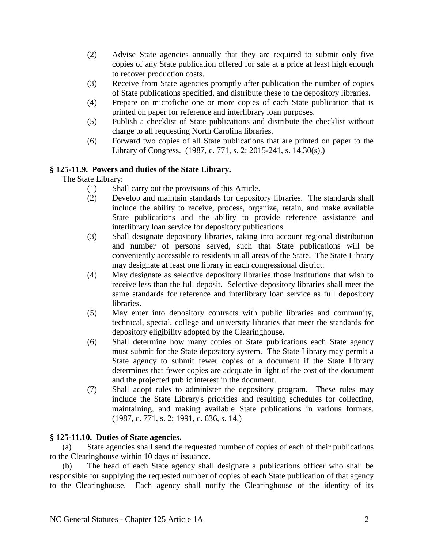- (2) Advise State agencies annually that they are required to submit only five copies of any State publication offered for sale at a price at least high enough to recover production costs.
- (3) Receive from State agencies promptly after publication the number of copies of State publications specified, and distribute these to the depository libraries.
- (4) Prepare on microfiche one or more copies of each State publication that is printed on paper for reference and interlibrary loan purposes.
- (5) Publish a checklist of State publications and distribute the checklist without charge to all requesting North Carolina libraries.
- (6) Forward two copies of all State publications that are printed on paper to the Library of Congress. (1987, c. 771, s. 2; 2015-241, s. 14.30(s).)

# **§ 125-11.9. Powers and duties of the State Library.**

The State Library:

- (1) Shall carry out the provisions of this Article.
- (2) Develop and maintain standards for depository libraries. The standards shall include the ability to receive, process, organize, retain, and make available State publications and the ability to provide reference assistance and interlibrary loan service for depository publications.
- (3) Shall designate depository libraries, taking into account regional distribution and number of persons served, such that State publications will be conveniently accessible to residents in all areas of the State. The State Library may designate at least one library in each congressional district.
- (4) May designate as selective depository libraries those institutions that wish to receive less than the full deposit. Selective depository libraries shall meet the same standards for reference and interlibrary loan service as full depository libraries.
- (5) May enter into depository contracts with public libraries and community, technical, special, college and university libraries that meet the standards for depository eligibility adopted by the Clearinghouse.
- (6) Shall determine how many copies of State publications each State agency must submit for the State depository system. The State Library may permit a State agency to submit fewer copies of a document if the State Library determines that fewer copies are adequate in light of the cost of the document and the projected public interest in the document.
- (7) Shall adopt rules to administer the depository program. These rules may include the State Library's priorities and resulting schedules for collecting, maintaining, and making available State publications in various formats. (1987, c. 771, s. 2; 1991, c. 636, s. 14.)

# **§ 125-11.10. Duties of State agencies.**

(a) State agencies shall send the requested number of copies of each of their publications to the Clearinghouse within 10 days of issuance.

(b) The head of each State agency shall designate a publications officer who shall be responsible for supplying the requested number of copies of each State publication of that agency to the Clearinghouse. Each agency shall notify the Clearinghouse of the identity of its